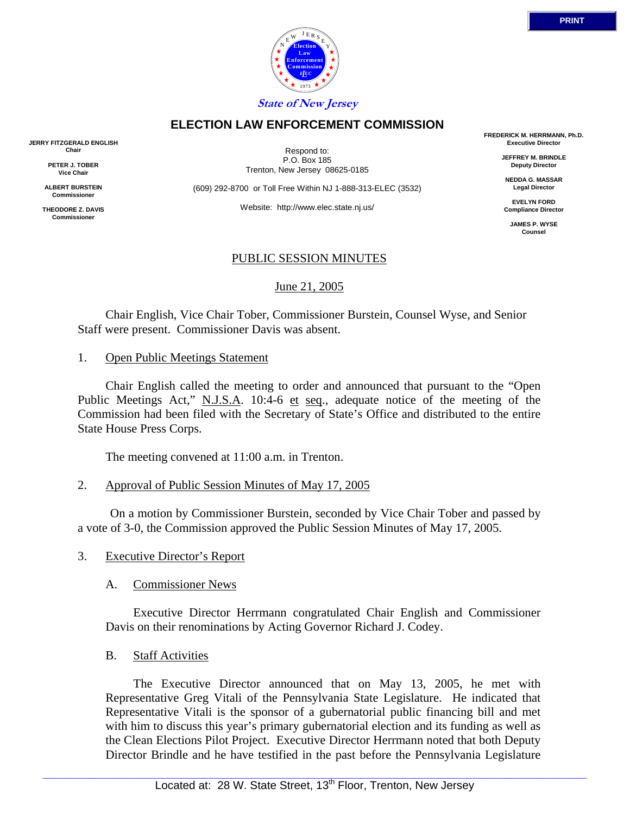

Respond to: P.O. Box 185 Trenton, New Jersey 08625-0185

**ELECTION LAW ENFORCEMENT COMMISSION**

(609) 292-8700 or Toll Free Within NJ 1-888-313-ELEC (3532)

Website: http://www.elec.state.nj.us/

# PUBLIC SESSION MINUTES

June 21, 2005

 Chair English, Vice Chair Tober, Commissioner Burstein, Counsel Wyse, and Senior Staff were present. Commissioner Davis was absent.

1. Open Public Meetings Statement

 Chair English called the meeting to order and announced that pursuant to the "Open Public Meetings Act," N.J.S.A. 10:4-6 et seq., adequate notice of the meeting of the Commission had been filed with the Secretary of State's Office and distributed to the entire State House Press Corps.

The meeting convened at 11:00 a.m. in Trenton.

2. Approval of Public Session Minutes of May 17, 2005

 On a motion by Commissioner Burstein, seconded by Vice Chair Tober and passed by a vote of 3-0, the Commission approved the Public Session Minutes of May 17, 2005.

# 3. Executive Director's Report

# A. Commissioner News

 Executive Director Herrmann congratulated Chair English and Commissioner Davis on their renominations by Acting Governor Richard J. Codey.

# B. Staff Activities

 The Executive Director announced that on May 13, 2005, he met with Representative Greg Vitali of the Pennsylvania State Legislature. He indicated that Representative Vitali is the sponsor of a gubernatorial public financing bill and met with him to discuss this year's primary gubernatorial election and its funding as well as the Clean Elections Pilot Project. Executive Director Herrmann noted that both Deputy Director Brindle and he have testified in the past before the Pennsylvania Legislature

**FREDERICK M. HERRMANN, Ph.D. Executive Director**

> **JEFFREY M. BRINDLE Deputy Director**

**NEDDA G. MASSAR Legal Director**

**EVELYN FORD Compliance Director**

**JAMES P. WYSE Counsel**



**JERRY FITZGERALD ENGLISH Chair**

> **PETER J. TOBER Vice Chair**

**ALBERT BURSTEIN Commissioner** 

**THEODORE Z. DAVIS Commissione**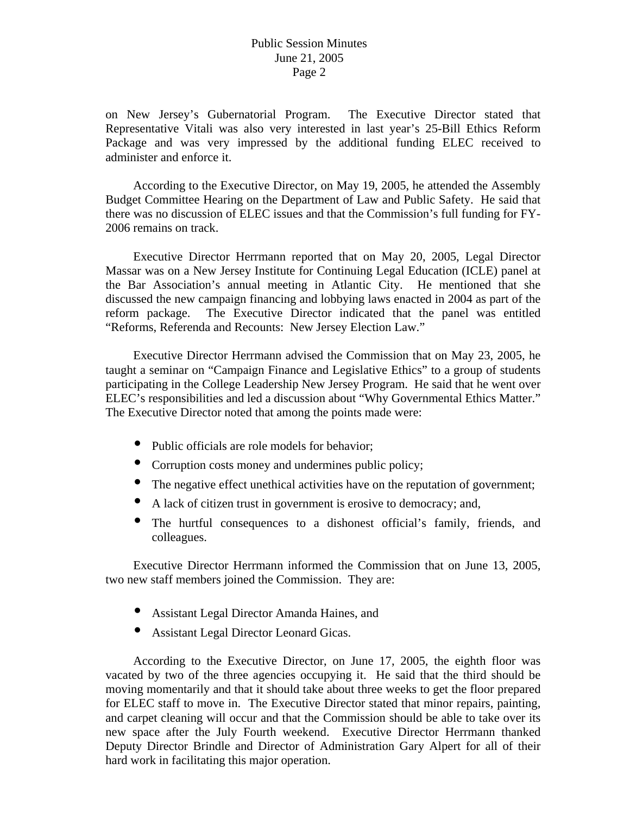on New Jersey's Gubernatorial Program. The Executive Director stated that Representative Vitali was also very interested in last year's 25-Bill Ethics Reform Package and was very impressed by the additional funding ELEC received to administer and enforce it.

 According to the Executive Director, on May 19, 2005, he attended the Assembly Budget Committee Hearing on the Department of Law and Public Safety. He said that there was no discussion of ELEC issues and that the Commission's full funding for FY-2006 remains on track.

 Executive Director Herrmann reported that on May 20, 2005, Legal Director Massar was on a New Jersey Institute for Continuing Legal Education (ICLE) panel at the Bar Association's annual meeting in Atlantic City. He mentioned that she discussed the new campaign financing and lobbying laws enacted in 2004 as part of the reform package. The Executive Director indicated that the panel was entitled "Reforms, Referenda and Recounts: New Jersey Election Law."

 Executive Director Herrmann advised the Commission that on May 23, 2005, he taught a seminar on "Campaign Finance and Legislative Ethics" to a group of students participating in the College Leadership New Jersey Program. He said that he went over ELEC's responsibilities and led a discussion about "Why Governmental Ethics Matter." The Executive Director noted that among the points made were:

- Public officials are role models for behavior;
- Corruption costs money and undermines public policy;
- The negative effect unethical activities have on the reputation of government;
- A lack of citizen trust in government is erosive to democracy; and,
- The hurtful consequences to a dishonest official's family, friends, and colleagues.

 Executive Director Herrmann informed the Commission that on June 13, 2005, two new staff members joined the Commission. They are:

- Assistant Legal Director Amanda Haines, and
- Assistant Legal Director Leonard Gicas.

 According to the Executive Director, on June 17, 2005, the eighth floor was vacated by two of the three agencies occupying it. He said that the third should be moving momentarily and that it should take about three weeks to get the floor prepared for ELEC staff to move in. The Executive Director stated that minor repairs, painting, and carpet cleaning will occur and that the Commission should be able to take over its new space after the July Fourth weekend. Executive Director Herrmann thanked Deputy Director Brindle and Director of Administration Gary Alpert for all of their hard work in facilitating this major operation.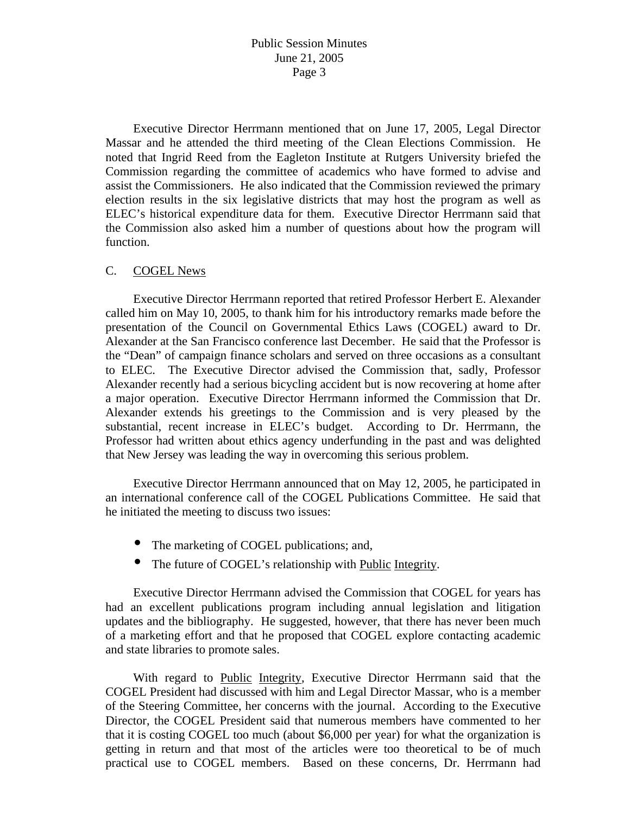Executive Director Herrmann mentioned that on June 17, 2005, Legal Director Massar and he attended the third meeting of the Clean Elections Commission. He noted that Ingrid Reed from the Eagleton Institute at Rutgers University briefed the Commission regarding the committee of academics who have formed to advise and assist the Commissioners. He also indicated that the Commission reviewed the primary election results in the six legislative districts that may host the program as well as ELEC's historical expenditure data for them. Executive Director Herrmann said that the Commission also asked him a number of questions about how the program will function.

#### C. COGEL News

 Executive Director Herrmann reported that retired Professor Herbert E. Alexander called him on May 10, 2005, to thank him for his introductory remarks made before the presentation of the Council on Governmental Ethics Laws (COGEL) award to Dr. Alexander at the San Francisco conference last December. He said that the Professor is the "Dean" of campaign finance scholars and served on three occasions as a consultant to ELEC. The Executive Director advised the Commission that, sadly, Professor Alexander recently had a serious bicycling accident but is now recovering at home after a major operation. Executive Director Herrmann informed the Commission that Dr. Alexander extends his greetings to the Commission and is very pleased by the substantial, recent increase in ELEC's budget. According to Dr. Herrmann, the Professor had written about ethics agency underfunding in the past and was delighted that New Jersey was leading the way in overcoming this serious problem.

 Executive Director Herrmann announced that on May 12, 2005, he participated in an international conference call of the COGEL Publications Committee. He said that he initiated the meeting to discuss two issues:

- The marketing of COGEL publications; and,
- The future of COGEL's relationship with Public Integrity.

 Executive Director Herrmann advised the Commission that COGEL for years has had an excellent publications program including annual legislation and litigation updates and the bibliography. He suggested, however, that there has never been much of a marketing effort and that he proposed that COGEL explore contacting academic and state libraries to promote sales.

With regard to Public Integrity, Executive Director Herrmann said that the COGEL President had discussed with him and Legal Director Massar, who is a member of the Steering Committee, her concerns with the journal. According to the Executive Director, the COGEL President said that numerous members have commented to her that it is costing COGEL too much (about \$6,000 per year) for what the organization is getting in return and that most of the articles were too theoretical to be of much practical use to COGEL members. Based on these concerns, Dr. Herrmann had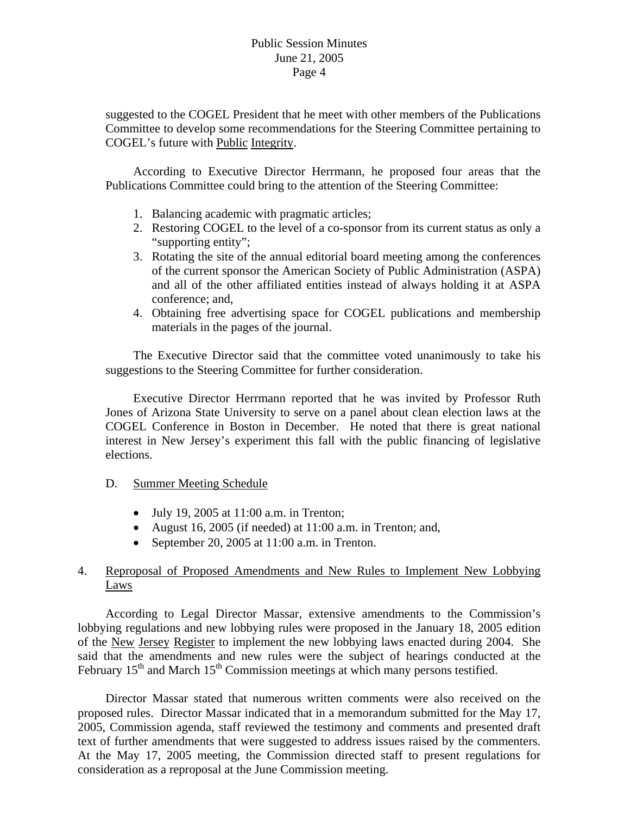suggested to the COGEL President that he meet with other members of the Publications Committee to develop some recommendations for the Steering Committee pertaining to COGEL's future with Public Integrity.

 According to Executive Director Herrmann, he proposed four areas that the Publications Committee could bring to the attention of the Steering Committee:

- 1. Balancing academic with pragmatic articles;
- 2. Restoring COGEL to the level of a co-sponsor from its current status as only a "supporting entity";
- 3. Rotating the site of the annual editorial board meeting among the conferences of the current sponsor the American Society of Public Administration (ASPA) and all of the other affiliated entities instead of always holding it at ASPA conference; and,
- 4. Obtaining free advertising space for COGEL publications and membership materials in the pages of the journal.

 The Executive Director said that the committee voted unanimously to take his suggestions to the Steering Committee for further consideration.

 Executive Director Herrmann reported that he was invited by Professor Ruth Jones of Arizona State University to serve on a panel about clean election laws at the COGEL Conference in Boston in December. He noted that there is great national interest in New Jersey's experiment this fall with the public financing of legislative elections.

#### D. Summer Meeting Schedule

- July 19, 2005 at  $11:00$  a.m. in Trenton;
- August 16, 2005 (if needed) at 11:00 a.m. in Trenton; and,
- September 20, 2005 at 11:00 a.m. in Trenton.

## 4. Reproposal of Proposed Amendments and New Rules to Implement New Lobbying Laws

 According to Legal Director Massar, extensive amendments to the Commission's lobbying regulations and new lobbying rules were proposed in the January 18, 2005 edition of the New Jersey Register to implement the new lobbying laws enacted during 2004. She said that the amendments and new rules were the subject of hearings conducted at the February  $15<sup>th</sup>$  and March  $15<sup>th</sup>$  Commission meetings at which many persons testified.

 Director Massar stated that numerous written comments were also received on the proposed rules. Director Massar indicated that in a memorandum submitted for the May 17, 2005, Commission agenda, staff reviewed the testimony and comments and presented draft text of further amendments that were suggested to address issues raised by the commenters. At the May 17, 2005 meeting, the Commission directed staff to present regulations for consideration as a reproposal at the June Commission meeting.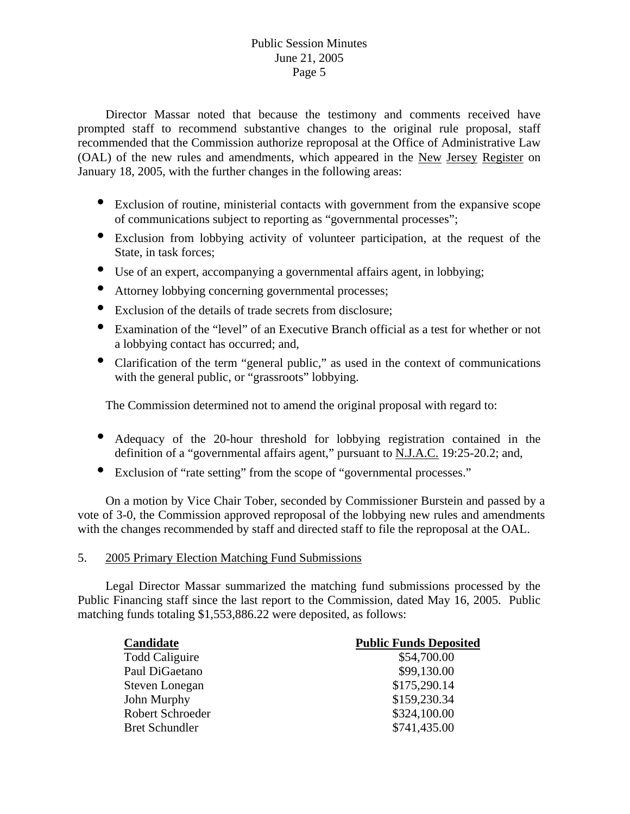## Public Session Minutes June 21, 2005 Page 5

 Director Massar noted that because the testimony and comments received have prompted staff to recommend substantive changes to the original rule proposal, staff recommended that the Commission authorize reproposal at the Office of Administrative Law (OAL) of the new rules and amendments, which appeared in the New Jersey Register on January 18, 2005, with the further changes in the following areas:

- Exclusion of routine, ministerial contacts with government from the expansive scope of communications subject to reporting as "governmental processes";
- Exclusion from lobbying activity of volunteer participation, at the request of the State, in task forces;
- Use of an expert, accompanying a governmental affairs agent, in lobbying;
- Attorney lobbying concerning governmental processes;
- Exclusion of the details of trade secrets from disclosure;
- Examination of the "level" of an Executive Branch official as a test for whether or not a lobbying contact has occurred; and,
- Clarification of the term "general public," as used in the context of communications with the general public, or "grassroots" lobbying.

The Commission determined not to amend the original proposal with regard to:

- Adequacy of the 20-hour threshold for lobbying registration contained in the definition of a "governmental affairs agent," pursuant to N.J.A.C. 19:25-20.2; and,
- Exclusion of "rate setting" from the scope of "governmental processes."

 On a motion by Vice Chair Tober, seconded by Commissioner Burstein and passed by a vote of 3-0, the Commission approved reproposal of the lobbying new rules and amendments with the changes recommended by staff and directed staff to file the reproposal at the OAL.

#### 5. 2005 Primary Election Matching Fund Submissions

 Legal Director Massar summarized the matching fund submissions processed by the Public Financing staff since the last report to the Commission, dated May 16, 2005. Public matching funds totaling \$1,553,886.22 were deposited, as follows:

| Candidate             | <b>Public Funds Deposited</b> |
|-----------------------|-------------------------------|
| <b>Todd Caliguire</b> | \$54,700.00                   |
| Paul DiGaetano        | \$99,130.00                   |
| Steven Lonegan        | \$175,290.14                  |
| John Murphy           | \$159,230.34                  |
| Robert Schroeder      | \$324,100.00                  |
| <b>Bret Schundler</b> | \$741,435.00                  |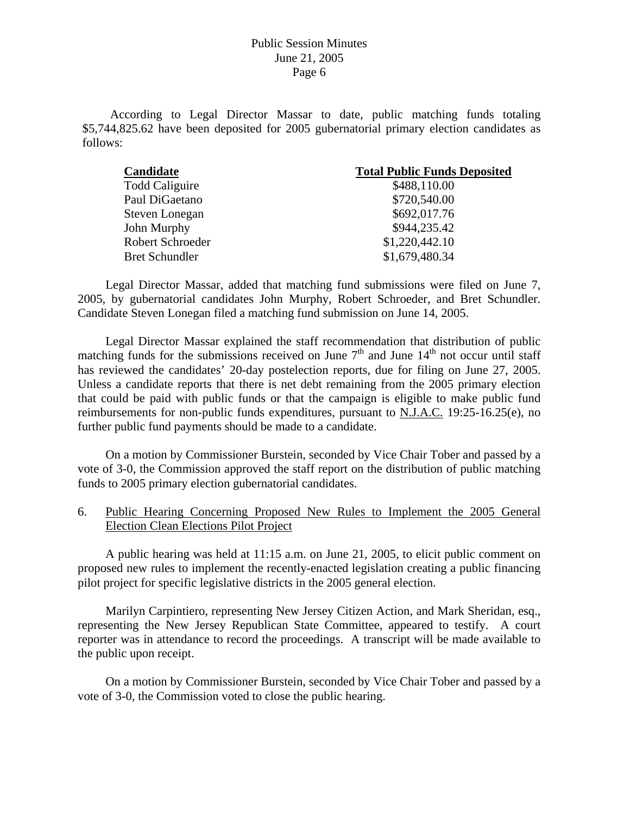According to Legal Director Massar to date, public matching funds totaling \$5,744,825.62 have been deposited for 2005 gubernatorial primary election candidates as follows:

| Candidate             | <b>Total Public Funds Deposited</b> |
|-----------------------|-------------------------------------|
| <b>Todd Caliguire</b> | \$488,110.00                        |
| Paul DiGaetano        | \$720,540.00                        |
| Steven Lonegan        | \$692,017.76                        |
| John Murphy           | \$944,235.42                        |
| Robert Schroeder      | \$1,220,442.10                      |
| <b>Bret Schundler</b> | \$1,679,480.34                      |

 Legal Director Massar, added that matching fund submissions were filed on June 7, 2005, by gubernatorial candidates John Murphy, Robert Schroeder, and Bret Schundler. Candidate Steven Lonegan filed a matching fund submission on June 14, 2005.

 Legal Director Massar explained the staff recommendation that distribution of public matching funds for the submissions received on June  $7<sup>th</sup>$  and June  $14<sup>th</sup>$  not occur until staff has reviewed the candidates' 20-day postelection reports, due for filing on June 27, 2005. Unless a candidate reports that there is net debt remaining from the 2005 primary election that could be paid with public funds or that the campaign is eligible to make public fund reimbursements for non-public funds expenditures, pursuant to N.J.A.C. 19:25-16.25(e), no further public fund payments should be made to a candidate.

 On a motion by Commissioner Burstein, seconded by Vice Chair Tober and passed by a vote of 3-0, the Commission approved the staff report on the distribution of public matching funds to 2005 primary election gubernatorial candidates.

6. Public Hearing Concerning Proposed New Rules to Implement the 2005 General Election Clean Elections Pilot Project

 A public hearing was held at 11:15 a.m. on June 21, 2005, to elicit public comment on proposed new rules to implement the recently-enacted legislation creating a public financing pilot project for specific legislative districts in the 2005 general election.

 Marilyn Carpintiero, representing New Jersey Citizen Action, and Mark Sheridan, esq., representing the New Jersey Republican State Committee, appeared to testify. A court reporter was in attendance to record the proceedings. A transcript will be made available to the public upon receipt.

 On a motion by Commissioner Burstein, seconded by Vice Chair Tober and passed by a vote of 3-0, the Commission voted to close the public hearing.